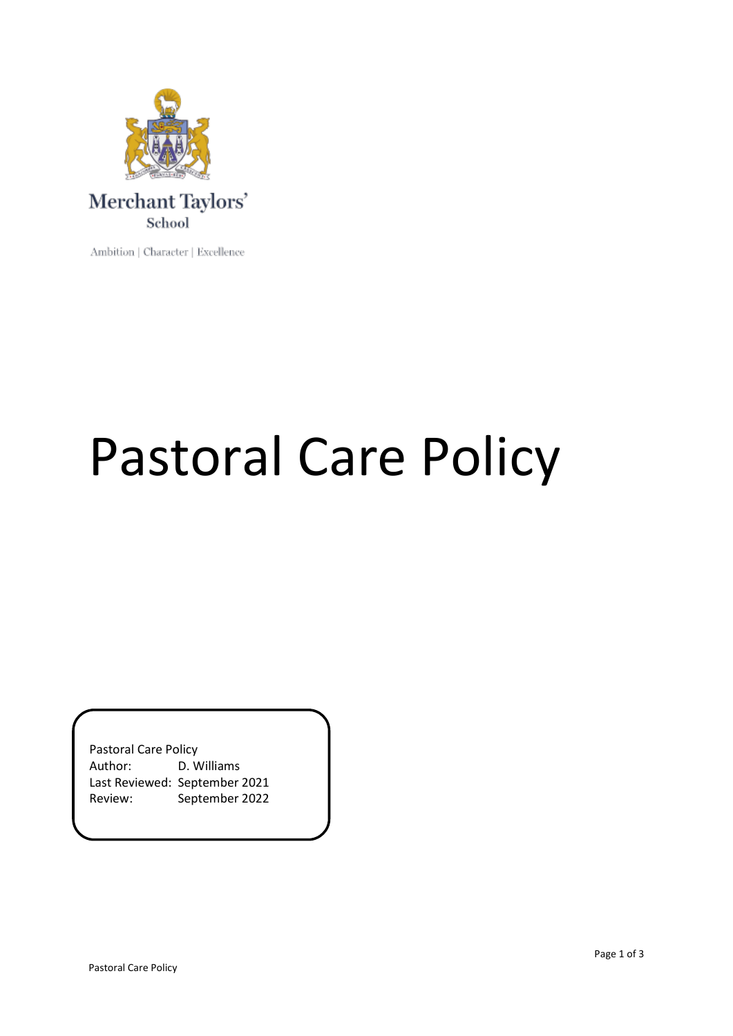

Ambition | Character | Excellence

## Pastoral Care Policy

Pastoral Care Policy Author: D. Williams Last Reviewed: September 2021 Review: September 2022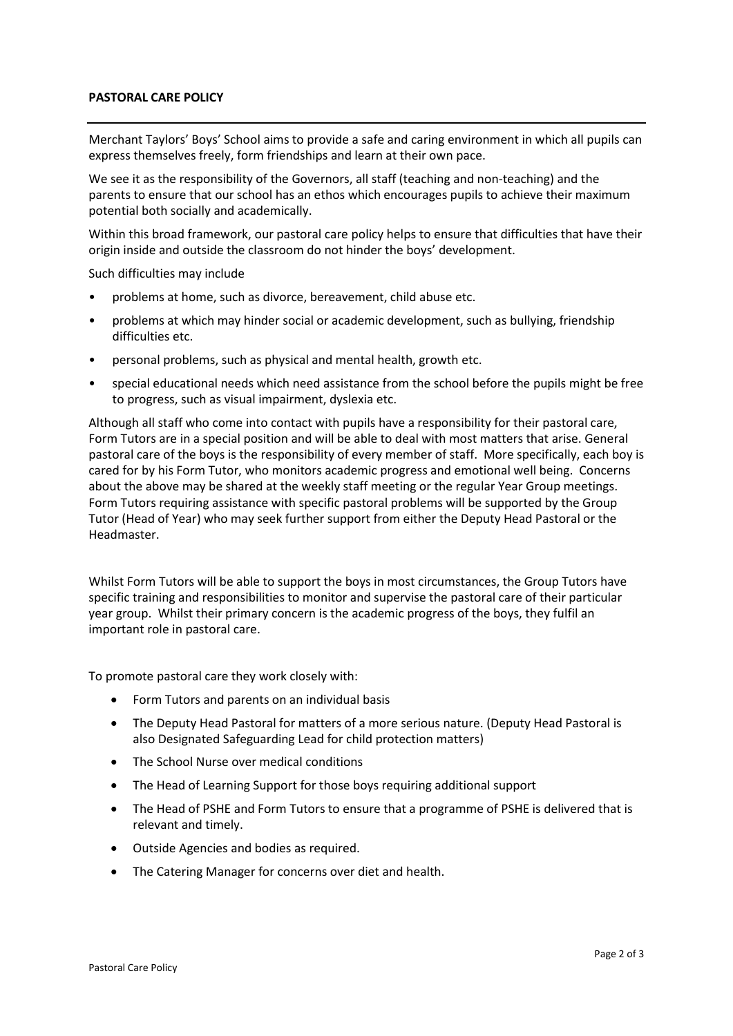## **PASTORAL CARE POLICY**

Merchant Taylors' Boys' School aims to provide a safe and caring environment in which all pupils can express themselves freely, form friendships and learn at their own pace.

We see it as the responsibility of the Governors, all staff (teaching and non-teaching) and the parents to ensure that our school has an ethos which encourages pupils to achieve their maximum potential both socially and academically.

Within this broad framework, our pastoral care policy helps to ensure that difficulties that have their origin inside and outside the classroom do not hinder the boys' development.

Such difficulties may include

- problems at home, such as divorce, bereavement, child abuse etc.
- problems at which may hinder social or academic development, such as bullying, friendship difficulties etc.
- personal problems, such as physical and mental health, growth etc.
- special educational needs which need assistance from the school before the pupils might be free to progress, such as visual impairment, dyslexia etc.

Although all staff who come into contact with pupils have a responsibility for their pastoral care, Form Tutors are in a special position and will be able to deal with most matters that arise. General pastoral care of the boys is the responsibility of every member of staff. More specifically, each boy is cared for by his Form Tutor, who monitors academic progress and emotional well being. Concerns about the above may be shared at the weekly staff meeting or the regular Year Group meetings. Form Tutors requiring assistance with specific pastoral problems will be supported by the Group Tutor (Head of Year) who may seek further support from either the Deputy Head Pastoral or the Headmaster.

Whilst Form Tutors will be able to support the boys in most circumstances, the Group Tutors have specific training and responsibilities to monitor and supervise the pastoral care of their particular year group. Whilst their primary concern is the academic progress of the boys, they fulfil an important role in pastoral care.

To promote pastoral care they work closely with:

- Form Tutors and parents on an individual basis
- The Deputy Head Pastoral for matters of a more serious nature. (Deputy Head Pastoral is also Designated Safeguarding Lead for child protection matters)
- The School Nurse over medical conditions
- The Head of Learning Support for those boys requiring additional support
- The Head of PSHE and Form Tutors to ensure that a programme of PSHE is delivered that is relevant and timely.
- Outside Agencies and bodies as required.
- The Catering Manager for concerns over diet and health.